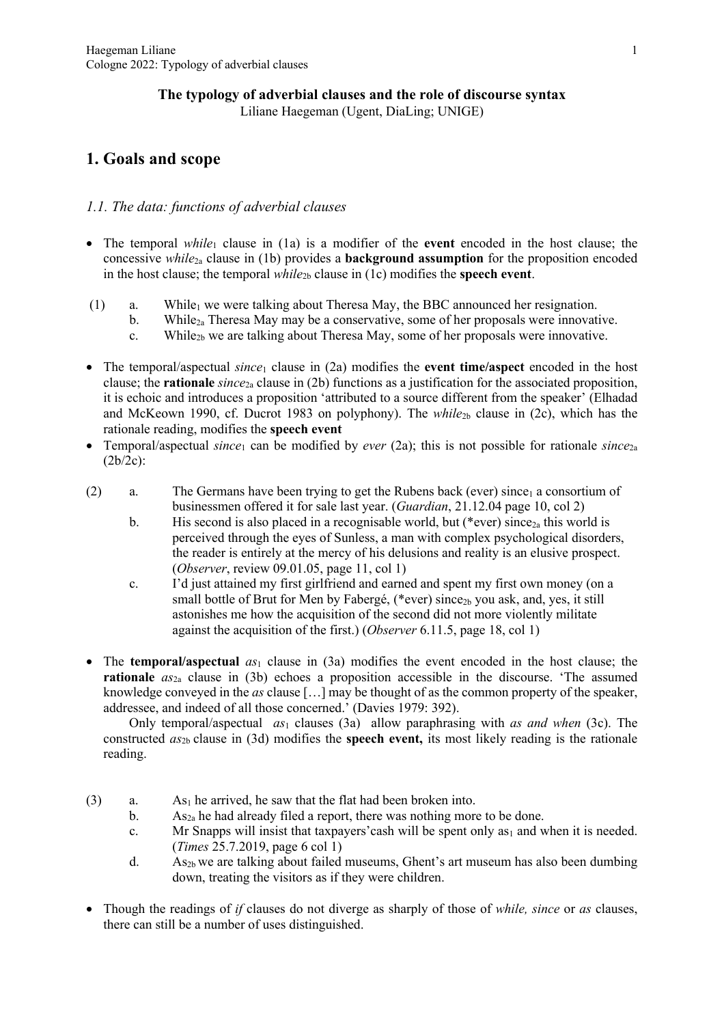#### **The typology of adverbial clauses and the role of discourse syntax** Liliane Haegeman (Ugent, DiaLing; UNIGE)

# **1. Goals and scope**

### *1.1. The data: functions of adverbial clauses*

- The temporal *while*<sub>1</sub> clause in (1a) is a modifier of the **event** encoded in the host clause; the concessive *while*2a clause in (1b) provides a **background assumption** for the proposition encoded in the host clause; the temporal  $while_{2b}$  clause in (1c) modifies the **speech event**.
- (1) a. While<sub>1</sub> we were talking about Theresa May, the BBC announced her resignation.
	- b. While<sub>2a</sub> Theresa May may be a conservative, some of her proposals were innovative.
		- c. While2b we are talking about Theresa May, some of her proposals were innovative.
- The temporal/aspectual *since*<sub>1</sub> clause in (2a) modifies the **event time/aspect** encoded in the host clause; the **rationale** *since*2a clause in (2b) functions as a justification for the associated proposition, it is echoic and introduces a proposition 'attributed to a source different from the speaker' (Elhadad and McKeown 1990, cf. Ducrot 1983 on polyphony). The *while*<sub>2b</sub> clause in (2c), which has the rationale reading, modifies the **speech event**
- Temporal/aspectual *since*<sub>1</sub> can be modified by *ever* (2a); this is not possible for rationale *since*<sub>2a</sub> (2b/2c):
- (2) a. The Germans have been trying to get the Rubens back (ever) since<sub>1</sub> a consortium of businessmen offered it for sale last year. (*Guardian*, 21.12.04 page 10, col 2)
	- b. His second is also placed in a recognisable world, but (\*ever) since<sub>2a</sub> this world is perceived through the eyes of Sunless, a man with complex psychological disorders, the reader is entirely at the mercy of his delusions and reality is an elusive prospect. (*Observer*, review 09.01.05, page 11, col 1)
	- c. I'd just attained my first girlfriend and earned and spent my first own money (on a small bottle of Brut for Men by Fabergé, (\*ever) since<sub>2b</sub> you ask, and, yes, it still astonishes me how the acquisition of the second did not more violently militate against the acquisition of the first.) (*Observer* 6.11.5, page 18, col 1)
- The **temporal**/aspectual  $as_1$  clause in (3a) modifies the event encoded in the host clause; the **rationale** *as*2a clause in (3b) echoes a proposition accessible in the discourse. 'The assumed knowledge conveyed in the *as* clause […] may be thought of as the common property of the speaker, addressee, and indeed of all those concerned.' (Davies 1979: 392).

Only temporal/aspectual *as*<sup>1</sup> clauses (3a) allow paraphrasing with *as and when* (3c). The constructed  $a_{5b}$  clause in (3d) modifies the **speech event**, its most likely reading is the rationale reading.

- (3) a. As<sub>1</sub> he arrived, he saw that the flat had been broken into.
	- b. As<sub>2a</sub> he had already filed a report, there was nothing more to be done.
	- c. Mr Snapps will insist that taxpayers' cash will be spent only  $as<sub>1</sub>$  and when it is needed. (*Times* 25.7.2019, page 6 col 1)
	- d. As<sub>2b</sub> we are talking about failed museums, Ghent's art museum has also been dumbing down, treating the visitors as if they were children.
- Though the readings of *if* clauses do not diverge as sharply of those of *while, since* or *as* clauses, there can still be a number of uses distinguished.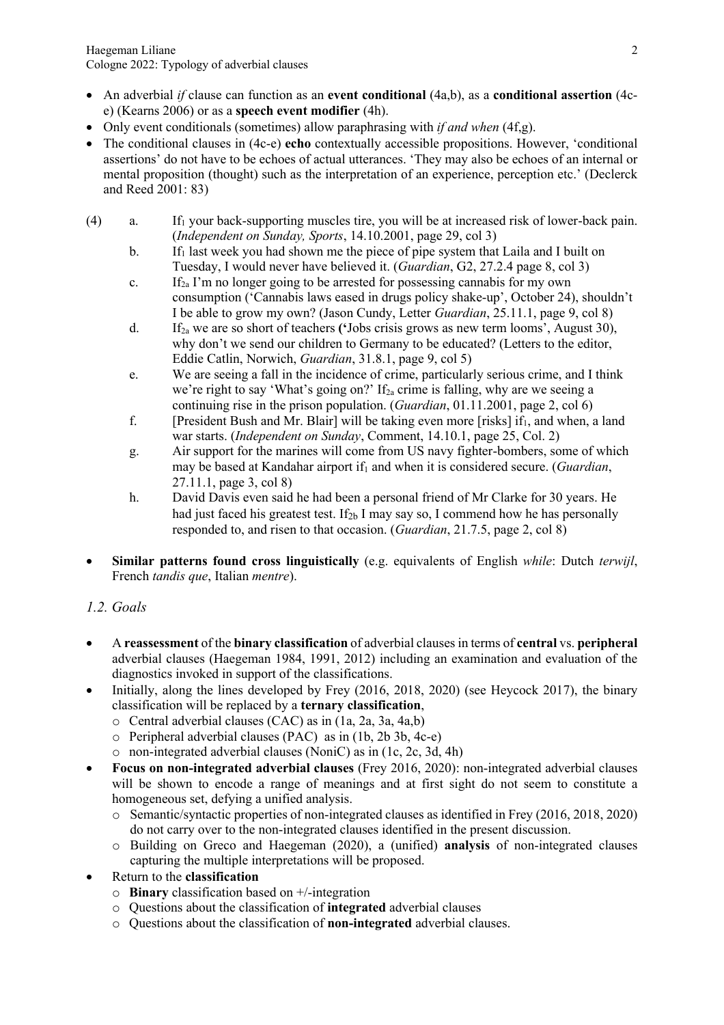- An adverbial *if* clause can function as an **event conditional** (4a,b), as a **conditional assertion** (4ce) (Kearns 2006) or as a **speech event modifier** (4h).
- Only event conditionals (sometimes) allow paraphrasing with *if and when* (4f,g).
- The conditional clauses in (4c-e) **echo** contextually accessible propositions. However, 'conditional assertions' do not have to be echoes of actual utterances. 'They may also be echoes of an internal or mental proposition (thought) such as the interpretation of an experience, perception etc.' (Declerck and Reed 2001: 83)
- $(4)$  a. If<sub>1</sub> your back-supporting muscles tire, you will be at increased risk of lower-back pain. (*Independent on Sunday, Sports*, 14.10.2001, page 29, col 3)
	- b. If<sub>1</sub> last week you had shown me the piece of pipe system that Laila and I built on Tuesday, I would never have believed it. (*Guardian*, G2, 27.2.4 page 8, col 3)
	- c. If<sub>2a</sub> I'm no longer going to be arrested for possessing cannabis for my own consumption ('Cannabis laws eased in drugs policy shake-up', October 24), shouldn't I be able to grow my own? (Jason Cundy, Letter *Guardian*, 25.11.1, page 9, col 8)
	- d. If2a we are so short of teachers **('**Jobs crisis grows as new term looms', August 30), why don't we send our children to Germany to be educated? (Letters to the editor, Eddie Catlin, Norwich, *Guardian*, 31.8.1, page 9, col 5)
	- e. We are seeing a fall in the incidence of crime, particularly serious crime, and I think we're right to say 'What's going on?' If<sub>2a</sub> crime is falling, why are we seeing a continuing rise in the prison population. (*Guardian*, 01.11.2001, page 2, col 6)
	- f. [President Bush and Mr. Blair] will be taking even more [risks] if  $_1$ , and when, a land war starts. (*Independent on Sunday*, Comment, 14.10.1, page 25, Col. 2)
	- g. Air support for the marines will come from US navy fighter-bombers, some of which may be based at Kandahar airport if<sub>1</sub> and when it is considered secure. (*Guardian*, 27.11.1, page 3, col 8)
	- h. David Davis even said he had been a personal friend of Mr Clarke for 30 years. He had just faced his greatest test. If<sub>2b</sub> I may say so, I commend how he has personally responded to, and risen to that occasion. (*Guardian*, 21.7.5, page 2, col 8)
- **Similar patterns found cross linguistically** (e.g. equivalents of English *while*: Dutch *terwijl*, French *tandis que*, Italian *mentre*).

# *1.2. Goals*

- A **reassessment** of the **binary classification** of adverbial clausesin terms of **central** vs. **peripheral** adverbial clauses (Haegeman 1984, 1991, 2012) including an examination and evaluation of the diagnostics invoked in support of the classifications.
- Initially, along the lines developed by Frey (2016, 2018, 2020) (see Heycock 2017), the binary classification will be replaced by a **ternary classification**,
	- o Central adverbial clauses (CAC) as in (1a, 2a, 3a, 4a,b)
	- o Peripheral adverbial clauses (PAC) as in (1b, 2b 3b, 4c-e)
	- o non-integrated adverbial clauses (NoniC) as in (1c, 2c, 3d, 4h)
- **Focus on non-integrated adverbial clauses** (Frey 2016, 2020): non-integrated adverbial clauses will be shown to encode a range of meanings and at first sight do not seem to constitute a homogeneous set, defying a unified analysis.
	- o Semantic/syntactic properties of non-integrated clauses as identified in Frey (2016, 2018, 2020) do not carry over to the non-integrated clauses identified in the present discussion.
	- o Building on Greco and Haegeman (2020), a (unified) **analysis** of non-integrated clauses capturing the multiple interpretations will be proposed.
- Return to the **classification**
	- o **Binary** classification based on +/-integration
	- o Questions about the classification of **integrated** adverbial clauses
	- o Questions about the classification of **non-integrated** adverbial clauses.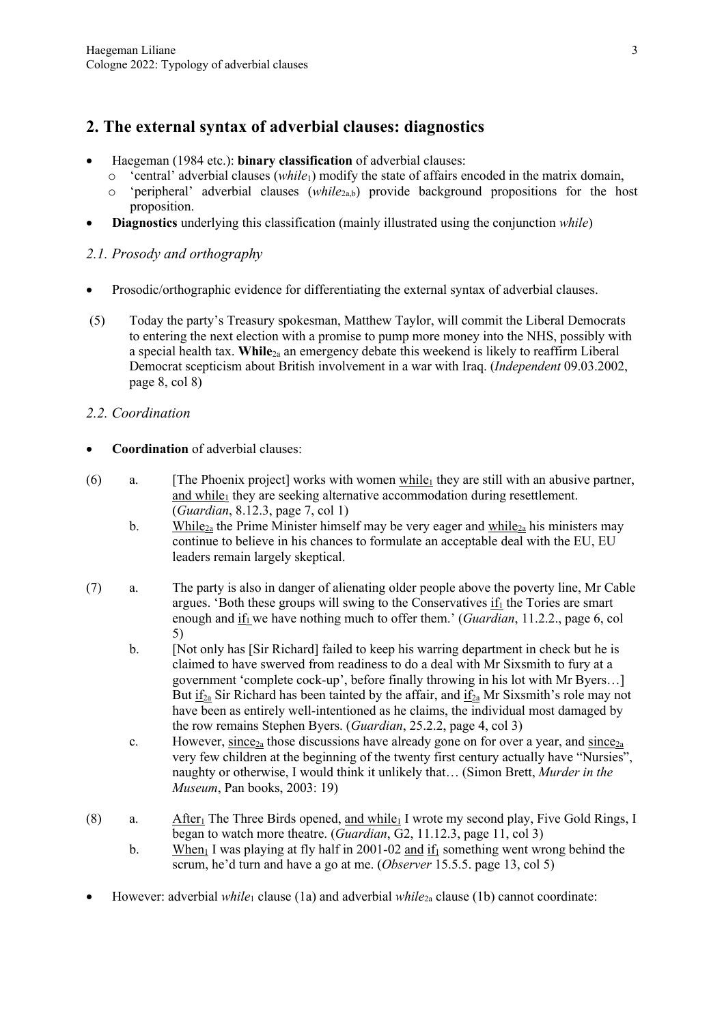# **2. The external syntax of adverbial clauses: diagnostics**

- Haegeman (1984 etc.): **binary classification** of adverbial clauses:
	- o 'central' adverbial clauses (*while*1) modify the state of affairs encoded in the matrix domain,
	- o 'peripheral' adverbial clauses (*while*2a,b) provide background propositions for the host proposition.
- **Diagnostics** underlying this classification (mainly illustrated using the conjunction *while*)

## *2.1. Prosody and orthography*

- Prosodic/orthographic evidence for differentiating the external syntax of adverbial clauses.
- (5) Today the party's Treasury spokesman, Matthew Taylor, will commit the Liberal Democrats to entering the next election with a promise to pump more money into the NHS, possibly with a special health tax. **While**2a an emergency debate this weekend is likely to reaffirm Liberal Democrat scepticism about British involvement in a war with Iraq. (*Independent* 09.03.2002, page 8, col 8)

## *2.2. Coordination*

- **Coordination** of adverbial clauses:
- (6) a. [The Phoenix project] works with women while<sub>1</sub> they are still with an abusive partner, and while<sub>1</sub> they are seeking alternative accommodation during resettlement. (*Guardian*, 8.12.3, page 7, col 1)
	- b. While<sub>2a</sub> the Prime Minister himself may be very eager and  $\frac{\text{while}_{2a}}{\text{while}_{2a}}$  his ministers may continue to believe in his chances to formulate an acceptable deal with the EU, EU leaders remain largely skeptical.
- (7) a. The party is also in danger of alienating older people above the poverty line, Mr Cable argues. 'Both these groups will swing to the Conservatives  $if_1$  the Tories are smart enough and if<sub>1</sub> we have nothing much to offer them.' (*Guardian*, 11.2.2., page 6, col 5)
	- b. [Not only has [Sir Richard] failed to keep his warring department in check but he is claimed to have swerved from readiness to do a deal with Mr Sixsmith to fury at a government 'complete cock-up', before finally throwing in his lot with Mr Byers…] But  $\underline{if}_{2a}$  Sir Richard has been tainted by the affair, and  $\underline{if}_{2a}$  Mr Sixsmith's role may not have been as entirely well-intentioned as he claims, the individual most damaged by the row remains Stephen Byers. (*Guardian*, 25.2.2, page 4, col 3)
	- c. However, since<sub>2a</sub> those discussions have already gone on for over a year, and since<sub>2a</sub> very few children at the beginning of the twenty first century actually have "Nursies", naughty or otherwise, I would think it unlikely that… (Simon Brett, *Murder in the Museum*, Pan books, 2003: 19)
- (8) a. After<sub>1</sub> The Three Birds opened, and while<sub>1</sub> I wrote my second play, Five Gold Rings, I began to watch more theatre. (*Guardian*, G2, 11.12.3, page 11, col 3)
	- b. When I was playing at fly half in 2001-02 and if<sub>1</sub> something went wrong behind the scrum, he'd turn and have a go at me. (*Observer* 15.5.5. page 13, col 5)
- However: adverbial *while*<sup>1</sup> clause (1a) and adverbial *while*2a clause (1b) cannot coordinate: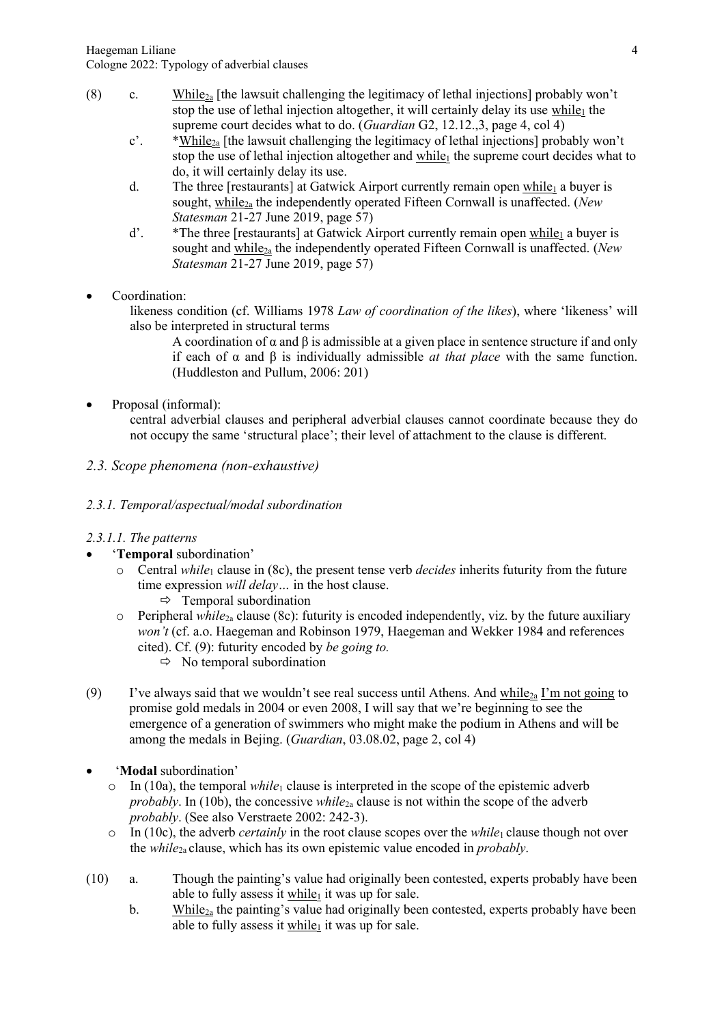- (8) c. While<sub>2a</sub> [the lawsuit challenging the legitimacy of lethal injections] probably won't stop the use of lethal injection altogether, it will certainly delay its use while<sub>1</sub> the supreme court decides what to do. (*Guardian* G2, 12.12.,3, page 4, col 4)
	- $c'$ . \*While<sub>2a</sub> [the lawsuit challenging the legitimacy of lethal injections] probably won't stop the use of lethal injection altogether and while<sub>1</sub> the supreme court decides what to do, it will certainly delay its use.
	- d. The three [restaurants] at Gatwick Airport currently remain open while<sub>1</sub> a buyer is sought, while<sub>2a</sub> the independently operated Fifteen Cornwall is unaffected. (*New Statesman* 21-27 June 2019, page 57)
	- d'.  $*$ The three [restaurants] at Gatwick Airport currently remain open while<sub>1</sub> a buyer is sought and while2a the independently operated Fifteen Cornwall is unaffected. (*New Statesman* 21-27 June 2019, page 57)
- Coordination:

likeness condition (cf. Williams 1978 *Law of coordination of the likes*), where 'likeness' will also be interpreted in structural terms

A coordination of  $\alpha$  and  $\beta$  is admissible at a given place in sentence structure if and only if each of α and β is individually admissible *at that place* with the same function. (Huddleston and Pullum, 2006: 201)

• Proposal (informal):

central adverbial clauses and peripheral adverbial clauses cannot coordinate because they do not occupy the same 'structural place'; their level of attachment to the clause is different.

## *2.3. Scope phenomena (non-exhaustive)*

### *2.3.1. Temporal/aspectual/modal subordination*

### *2.3.1.1. The patterns*

- '**Temporal** subordination'
	- o Central *while*<sup>1</sup> clause in (8c), the present tense verb *decides* inherits futurity from the future time expression *will delay…* in the host clause.
		- $\Rightarrow$  Temporal subordination
	- o Peripheral *while*2a clause (8c): futurity is encoded independently, viz. by the future auxiliary *won't* (cf. a.o. Haegeman and Robinson 1979, Haegeman and Wekker 1984 and references cited). Cf. (9): futurity encoded by *be going to.*
		- $\Rightarrow$  No temporal subordination
- (9) I've always said that we wouldn't see real success until Athens. And while<sub>2a</sub> I'm not going to promise gold medals in 2004 or even 2008, I will say that we're beginning to see the emergence of a generation of swimmers who might make the podium in Athens and will be among the medals in Bejing. (*Guardian*, 03.08.02, page 2, col 4)
- '**Modal** subordination'
	- $\circ$  In (10a), the temporal *while*<sub>1</sub> clause is interpreted in the scope of the epistemic adverb *probably*. In (10b), the concessive *while*<sub>2a</sub> clause is not within the scope of the adverb *probably*. (See also Verstraete 2002: 242-3).
	- o In (10c), the adverb *certainly* in the root clause scopes over the *while*<sup>1</sup> clause though not over the *while*2a clause, which has its own epistemic value encoded in *probably*.
- (10) a. Though the painting's value had originally been contested, experts probably have been able to fully assess it while<sub>1</sub> it was up for sale.
	- b. While<sub>2a</sub> the painting's value had originally been contested, experts probably have been able to fully assess it while<sub>1</sub> it was up for sale.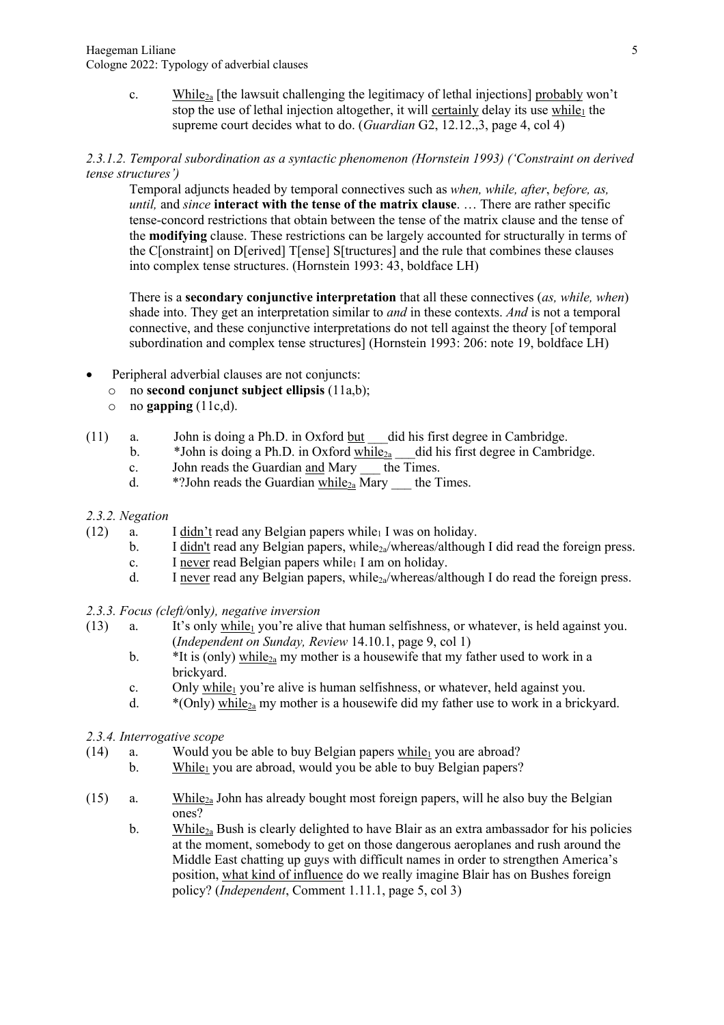c. While<sub>2a</sub> [the lawsuit challenging the legitimacy of lethal injections] probably won't stop the use of lethal injection altogether, it will certainly delay its use while<sub>1</sub> the supreme court decides what to do. (*Guardian* G2, 12.12.,3, page 4, col 4)

#### *2.3.1.2. Temporal subordination as a syntactic phenomenon (Hornstein 1993) ('Constraint on derived tense structures')*

Temporal adjuncts headed by temporal connectives such as *when, while, after*, *before, as, until,* and *since* **interact with the tense of the matrix clause**. … There are rather specific tense-concord restrictions that obtain between the tense of the matrix clause and the tense of the **modifying** clause. These restrictions can be largely accounted for structurally in terms of the C[onstraint] on D[erived] T[ense] S[tructures] and the rule that combines these clauses into complex tense structures. (Hornstein 1993: 43, boldface LH)

There is a **secondary conjunctive interpretation** that all these connectives (*as, while, when*) shade into. They get an interpretation similar to *and* in these contexts. *And* is not a temporal connective, and these conjunctive interpretations do not tell against the theory [of temporal subordination and complex tense structures] (Hornstein 1993: 206: note 19, boldface LH)

- Peripheral adverbial clauses are not conjuncts:
	- o no **second conjunct subject ellipsis** (11a,b);
	- $\circ$  no **gapping** (11c,d).
- $(11)$  a. John is doing a Ph.D. in Oxford but did his first degree in Cambridge.
	- b.  $*$  John is doing a Ph.D. in Oxford while<sub>2a</sub> did his first degree in Cambridge.
	- c. John reads the Guardian and Mary the Times.
	- d.  $*$ ?John reads the Guardian  $\frac{\text{while}_{2a}}{\text{Mary}}$  the Times.

#### *2.3.2. Negation*

- (12) a. I didn't read any Belgian papers while I was on holiday.
	- b. I didn't read any Belgian papers, while<sub>2a</sub>/whereas/although I did read the foreign press.
	- c. I never read Belgian papers while  $I$  am on holiday.
	- d. I never read any Belgian papers, while  $_{2a}/$ whereas/although I do read the foreign press.

### *2.3.3. Focus (cleft/*only*), negative inversion*

- (13) a. It's only while<sub>1</sub> you're alive that human selfishness, or whatever, is held against you. (*Independent on Sunday, Review* 14.10.1, page 9, col 1)
	- b.  $*$ It is (only) while<sub>2a</sub> my mother is a housewife that my father used to work in a brickyard.
	- c. Only while<sub>1</sub> you're alive is human selfishness, or whatever, held against you.
	- d.  $*(Only)$  while<sub>2a</sub> my mother is a housewife did my father use to work in a brickyard.
- *2.3.4. Interrogative scope*
- (14) a. Would you be able to buy Belgian papers  $\frac{\text{while}}{\text{else}}$  you are abroad?
	- b. While<sub>1</sub> you are abroad, would you be able to buy Belgian papers?
- (15) a. While<sub>2a</sub> John has already bought most foreign papers, will he also buy the Belgian ones?
	- b. While<sub>2a</sub> Bush is clearly delighted to have Blair as an extra ambassador for his policies at the moment, somebody to get on those dangerous aeroplanes and rush around the Middle East chatting up guys with difficult names in order to strengthen America's position, what kind of influence do we really imagine Blair has on Bushes foreign policy? (*Independent*, Comment 1.11.1, page 5, col 3)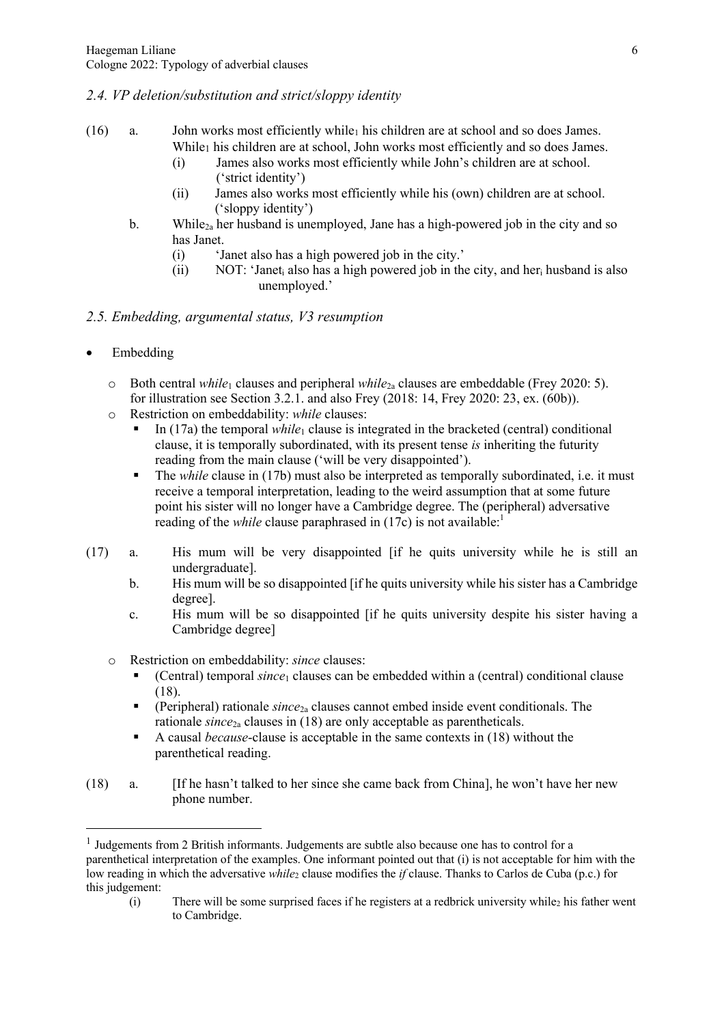## *2.4. VP deletion/substitution and strict/sloppy identity*

- (16) a. John works most efficiently while<sub>1</sub> his children are at school and so does James. While<sub>1</sub> his children are at school, John works most efficiently and so does James.
	- (i) James also works most efficiently while John's children are at school. ('strict identity')
	- (ii) James also works most efficiently while his (own) children are at school. ('sloppy identity')
	- b. While<sub>2a</sub> her husband is unemployed. Jane has a high-powered job in the city and so has Janet.
		- (i) 'Janet also has a high powered job in the city.'
		- (ii) NOT: 'Janet<sub>i</sub> also has a high powered job in the city, and her<sub>i</sub> husband is also unemployed.'
- *2.5. Embedding, argumental status, V3 resumption*
- **Embedding** 
	- o Both central *while*<sup>1</sup> clauses and peripheral *while*2a clauses are embeddable (Frey 2020: 5). for illustration see Section 3.2.1. and also Frey (2018: 14, Frey 2020: 23, ex. (60b)).
	- o Restriction on embeddability: *while* clauses:
		- In (17a) the temporal *while*<sub>1</sub> clause is integrated in the bracketed (central) conditional clause, it is temporally subordinated, with its present tense *is* inheriting the futurity reading from the main clause ('will be very disappointed').
		- § The *while* clause in (17b) must also be interpreted as temporally subordinated, i.e. it must receive a temporal interpretation, leading to the weird assumption that at some future point his sister will no longer have a Cambridge degree. The (peripheral) adversative reading of the *while* clause paraphrased in (17c) is not available:<sup>1</sup>
- (17) a. His mum will be very disappointed [if he quits university while he is still an undergraduate].
	- b. His mum will be so disappointed [if he quits university while his sister has a Cambridge degree].
	- c. His mum will be so disappointed [if he quits university despite his sister having a Cambridge degree]
	- o Restriction on embeddability: *since* clauses:
		- § (Central) temporal *since*<sup>1</sup> clauses can be embedded within a (central) conditional clause (18).
		- § (Peripheral) rationale *since*2a clauses cannot embed inside event conditionals. The rationale *since*2a clauses in (18) are only acceptable as parentheticals.
		- § A causal *because*-clause is acceptable in the same contexts in (18) without the parenthetical reading.
- (18) a. [If he hasn't talked to her since she came back from China], he won't have her new phone number.

 $(i)$  There will be some surprised faces if he registers at a redbrick university while  $2$  his father went to Cambridge.

 $<sup>1</sup>$  Judgements from 2 British informants. Judgements are subtle also because one has to control for a</sup> parenthetical interpretation of the examples. One informant pointed out that (i) is not acceptable for him with the low reading in which the adversative *while*<sub>2</sub> clause modifies the *if* clause. Thanks to Carlos de Cuba (p.c.) for this judgement: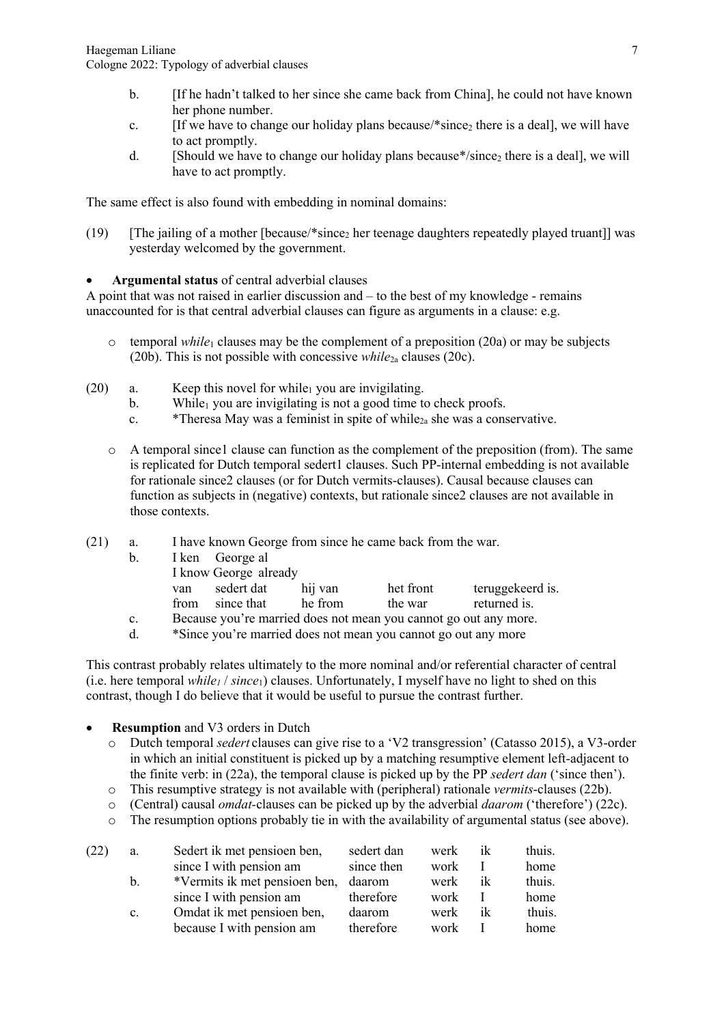- b. [If he hadn't talked to her since she came back from China], he could not have known her phone number.
- c. [If we have to change our holiday plans because/\*since<sub>2</sub> there is a deal], we will have to act promptly.
- d. [Should we have to change our holiday plans because\*/since<sub>2</sub> there is a deal], we will have to act promptly.

The same effect is also found with embedding in nominal domains:

- (19) [The jailing of a mother [because/\*since<sub>2</sub> her teenage daughters repeatedly played truant]] was yesterday welcomed by the government.
- **Argumental status** of central adverbial clauses

A point that was not raised in earlier discussion and – to the best of my knowledge - remains unaccounted for is that central adverbial clauses can figure as arguments in a clause: e.g.

- $\circ$  temporal *while*<sub>1</sub> clauses may be the complement of a preposition (20a) or may be subjects (20b). This is not possible with concessive *while*2a clauses (20c).
- $(20)$  a. Keep this novel for while<sub>1</sub> you are invigilating.
	- b. While<sub>1</sub> you are invigilating is not a good time to check proofs.
	- c.  $*$ Theresa May was a feminist in spite of while<sub>2a</sub> she was a conservative.
	- $\circ$  A temporal since l clause can function as the complement of the preposition (from). The same is replicated for Dutch temporal sedert1 clauses. Such PP-internal embedding is not available for rationale since2 clauses (or for Dutch vermits-clauses). Causal because clauses can function as subjects in (negative) contexts, but rationale since2 clauses are not available in those contexts.
- (21) a. I have known George from since he came back from the war.
	- b. I ken George al I know George already van sedert dat hij van het front teruggekeerd is.
		- from since that he from the war returned is.
	- c. Because you're married does not mean you cannot go out any more.
	- d. \*Since you're married does not mean you cannot go out any more

This contrast probably relates ultimately to the more nominal and/or referential character of central (i.e. here temporal *while<sub>1</sub>* / *since*<sub>1</sub>) clauses. Unfortunately, I myself have no light to shed on this contrast, though I do believe that it would be useful to pursue the contrast further.

- **Resumption** and V3 orders in Dutch
	- o Dutch temporal *sedert* clauses can give rise to a 'V2 transgression' (Catasso 2015), a V3-order in which an initial constituent is picked up by a matching resumptive element left-adjacent to the finite verb: in (22a), the temporal clause is picked up by the PP *sedert dan* ('since then').
	- o This resumptive strategy is not available with (peripheral) rationale *vermits*-clauses (22b).
	- o (Central) causal *omdat-*clauses can be picked up by the adverbial *daarom* ('therefore') (22c).
	- $\circ$  The resumption options probably tie in with the availability of argumental status (see above).

| (22) | a.             | Sedert ik met pensioen ben,          | sedert dan | werk | ik | thuis. |
|------|----------------|--------------------------------------|------------|------|----|--------|
|      |                | since I with pension am              | since then | work |    | home   |
|      | b.             | *Vermits ik met pensioen ben, daarom |            | werk | ik | thuis. |
|      |                | since I with pension am therefore    |            | work |    | home   |
|      | $\mathbf{c}$ . | Omdat ik met pensioen ben,           | daarom     | werk | ik | thuis. |
|      |                | because I with pension am            | therefore  | work |    | home   |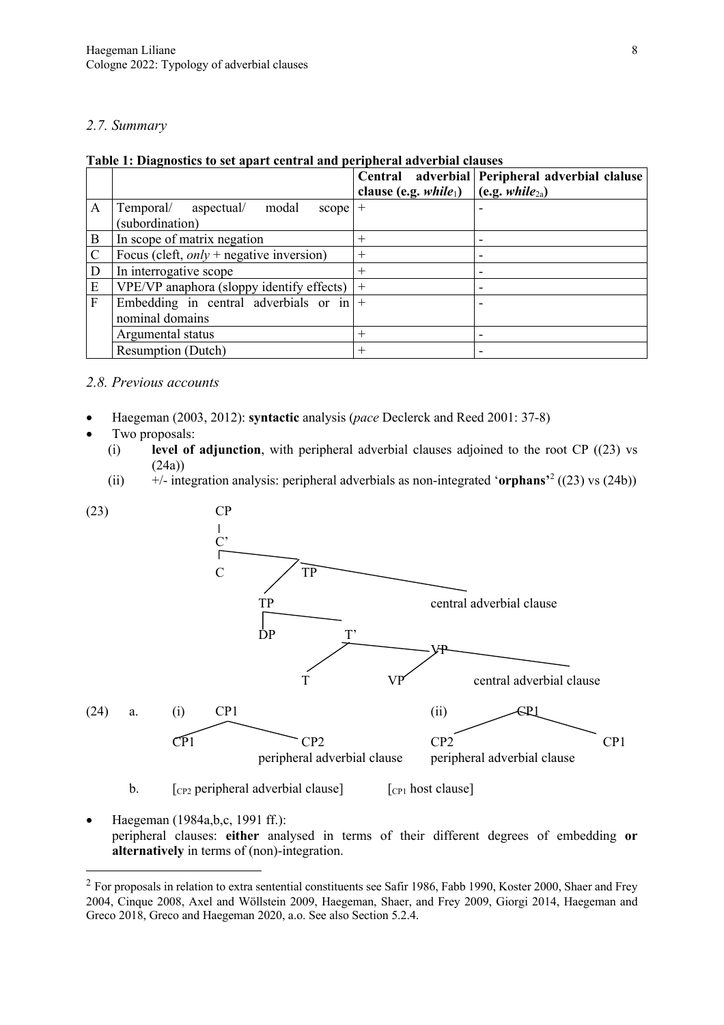#### *2.7. Summary*

| Table 1: Diagnostics to set apart central and peripheral adverbial clauses |
|----------------------------------------------------------------------------|
|----------------------------------------------------------------------------|

|              |                                             |                         | Central adverbial Peripheral adverbial claluse |
|--------------|---------------------------------------------|-------------------------|------------------------------------------------|
|              |                                             | clause (e.g. $while1$ ) | (c.g. while <sub>2a</sub> )                    |
| A            | Temporal/<br>aspectual/ modal<br>scope $ +$ |                         |                                                |
|              | (subordination)                             |                         |                                                |
| B            | In scope of matrix negation                 | $^{+}$                  |                                                |
| $\mathsf{C}$ | Focus (cleft, $only$ + negative inversion)  | $^{+}$                  |                                                |
| D            | In interrogative scope                      | $^+$                    | $\overline{\phantom{0}}$                       |
| E            | VPE/VP anaphora (sloppy identify effects)   | $+$                     |                                                |
| F            | Embedding in central adverbials or in $ +$  |                         |                                                |
|              | nominal domains                             |                         |                                                |
|              | Argumental status                           |                         |                                                |
|              | <b>Resumption (Dutch)</b>                   | $^+$                    | ۰                                              |

#### *2.8. Previous accounts*

- Haegeman (2003, 2012): **syntactic** analysis (*pace* Declerck and Reed 2001: 37-8)
- Two proposals:
	- (i) **level of adjunction**, with peripheral adverbial clauses adjoined to the root CP ((23) vs  $(24a)$
	- (ii) +/- integration analysis: peripheral adverbials as non-integrated '**orphans'**<sup>2</sup> ((23) vs (24b))



b.  $\lceil$  [cp2 peripheral adverbial clause]  $\lceil$  [cp1 host clause]

• Haegeman (1984a, b, c, 1991 ff.): peripheral clauses: **either** analysed in terms of their different degrees of embedding **or alternatively** in terms of (non)-integration.

<sup>&</sup>lt;sup>2</sup> For proposals in relation to extra sentential constituents see Safir 1986, Fabb 1990, Koster 2000, Shaer and Frey 2004, Cinque 2008, Axel and Wöllstein 2009, Haegeman, Shaer, and Frey 2009, Giorgi 2014, Haegeman and Greco 2018, Greco and Haegeman 2020, a.o. See also Section 5.2.4.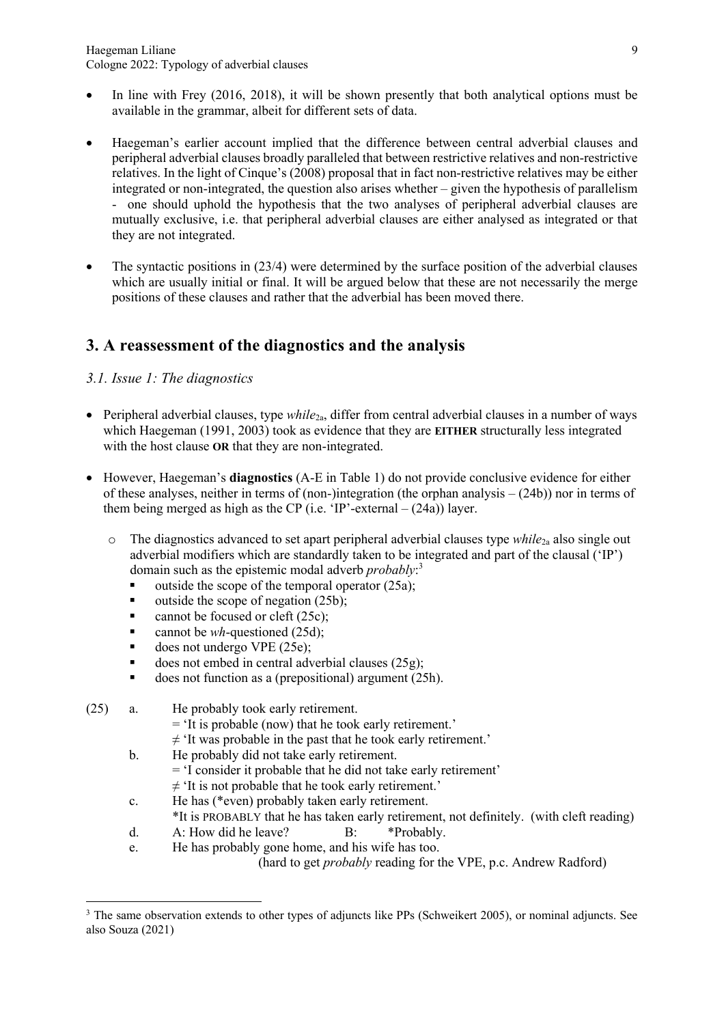- In line with Frey (2016, 2018), it will be shown presently that both analytical options must be available in the grammar, albeit for different sets of data.
- Haegeman's earlier account implied that the difference between central adverbial clauses and peripheral adverbial clauses broadly paralleled that between restrictive relatives and non-restrictive relatives. In the light of Cinque's (2008) proposal that in fact non-restrictive relatives may be either integrated or non-integrated, the question also arises whether – given the hypothesis of parallelism - one should uphold the hypothesis that the two analyses of peripheral adverbial clauses are mutually exclusive, i.e. that peripheral adverbial clauses are either analysed as integrated or that they are not integrated.
- The syntactic positions in  $(23/4)$  were determined by the surface position of the adverbial clauses which are usually initial or final. It will be argued below that these are not necessarily the merge positions of these clauses and rather that the adverbial has been moved there.

# **3. A reassessment of the diagnostics and the analysis**

## *3.1. Issue 1: The diagnostics*

- Peripheral adverbial clauses, type *while*2a, differ from central adverbial clauses in a number of ways which Haegeman (1991, 2003) took as evidence that they are **EITHER** structurally less integrated with the host clause **OR** that they are non-integrated.
- However, Haegeman's **diagnostics** (A-E in Table 1) do not provide conclusive evidence for either of these analyses, neither in terms of (non-)integration (the orphan analysis – (24b)) nor in terms of them being merged as high as the CP (i.e. 'IP'-external  $- (24a)$ ) layer.
	- o The diagnostics advanced to set apart peripheral adverbial clauses type *while*2a also single out adverbial modifiers which are standardly taken to be integrated and part of the clausal ('IP') domain such as the epistemic modal adverb *probably*: 3
		- s outside the scope of the temporal operator  $(25a)$ ;
		- $\blacksquare$  outside the scope of negation (25b);
		- cannot be focused or cleft (25c);
		- cannot be *wh*-questioned (25d);
		- does not undergo VPE  $(25e)$ ;
		- does not embed in central adverbial clauses (25g);
		- does not function as a (prepositional) argument (25h).
- (25) a. He probably took early retirement.
	- = 'It is probable (now) that he took early retirement.'
	- $\neq$  'It was probable in the past that he took early retirement.'
	- b. He probably did not take early retirement. = 'I consider it probable that he did not take early retirement'
		-
	- $\neq$  'It is not probable that he took early retirement.' c. He has (\*even) probably taken early retirement.
		- \*It is PROBABLY that he has taken early retirement, not definitely. (with cleft reading)
	- d. A: How did he leave? B: \*Probably.
	- e. He has probably gone home, and his wife has too. (hard to get *probably* reading for the VPE, p.c. Andrew Radford)

<sup>&</sup>lt;sup>3</sup> The same observation extends to other types of adjuncts like PPs (Schweikert 2005), or nominal adjuncts. See also Souza (2021)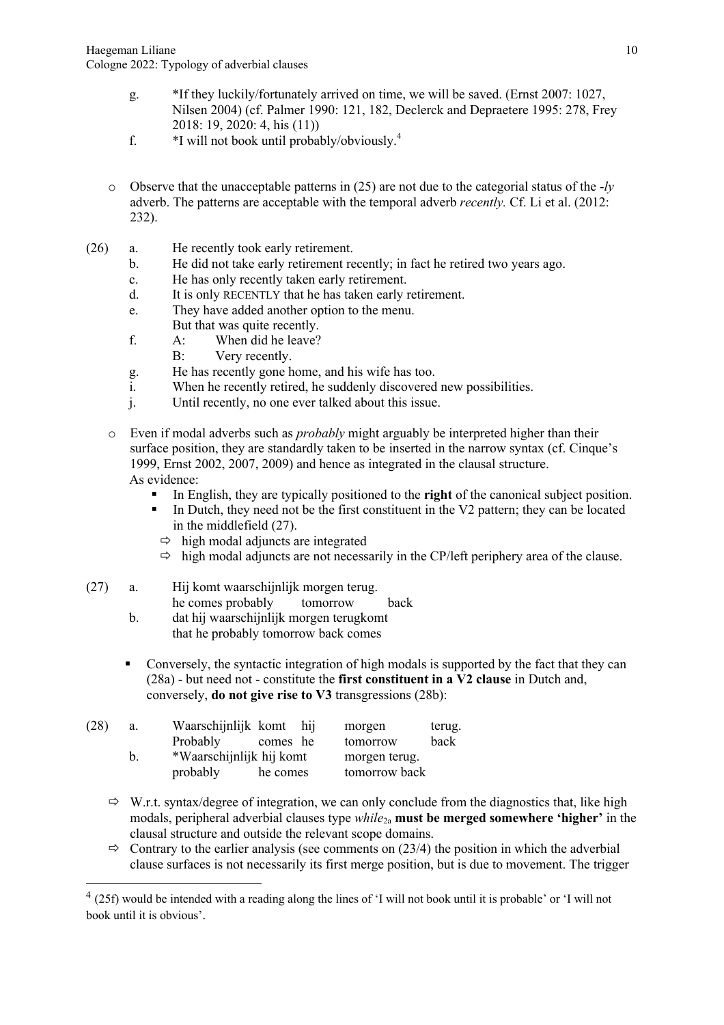- g. \*If they luckily/fortunately arrived on time, we will be saved. (Ernst 2007: 1027, Nilsen 2004) (cf. Palmer 1990: 121, 182, Declerck and Depraetere 1995: 278, Frey 2018: 19, 2020: 4, his (11))
- f. \*I will not book until probably/obviously.4
- o Observe that the unacceptable patterns in (25) are not due to the categorial status of the -*ly*  adverb. The patterns are acceptable with the temporal adverb *recently.* Cf. Li et al. (2012: 232).
- (26) a. He recently took early retirement.
	- b. He did not take early retirement recently; in fact he retired two years ago.
	- c. He has only recently taken early retirement.
	- d. It is only RECENTLY that he has taken early retirement.
	- e. They have added another option to the menu.
	- But that was quite recently.
	- f. A: When did he leave?
	- B: Very recently.
	- g. He has recently gone home, and his wife has too.
	- i. When he recently retired, he suddenly discovered new possibilities.
	- j. Until recently, no one ever talked about this issue.
	- o Even if modal adverbs such as *probably* might arguably be interpreted higher than their surface position, they are standardly taken to be inserted in the narrow syntax (cf. Cinque's 1999, Ernst 2002, 2007, 2009) and hence as integrated in the clausal structure. As evidence:
		- In English, they are typically positioned to the **right** of the canonical subject position.
		- In Dutch, they need not be the first constituent in the V2 pattern; they can be located in the middlefield (27).
			- $\Rightarrow$  high modal adjuncts are integrated
			- $\Rightarrow$  high modal adjuncts are not necessarily in the CP/left periphery area of the clause.

### (27) a. Hij komt waarschijnlijk morgen terug.

- he comes probably tomorrow back
- b. dat hij waarschijnlijk morgen terugkomt that he probably tomorrow back comes
- Conversely, the syntactic integration of high modals is supported by the fact that they can (28a) - but need not - constitute the **first constituent in a V2 clause** in Dutch and, conversely, **do not give rise to V3** transgressions (28b):

| (28) | a. | Waarschijnlijk komt hij |                          |  | morgen        | terug. |
|------|----|-------------------------|--------------------------|--|---------------|--------|
|      |    | Probably                | comes he                 |  | tomorrow      | back   |
|      | b. |                         | *Waarschijnlijk hij komt |  | morgen terug. |        |
|      |    | probably                | he comes                 |  | tomorrow back |        |

- $\Rightarrow$  W.r.t. syntax/degree of integration, we can only conclude from the diagnostics that, like high modals, peripheral adverbial clauses type *while*2a **must be merged somewhere 'higher'** in the clausal structure and outside the relevant scope domains.
- $\Rightarrow$  Contrary to the earlier analysis (see comments on (23/4) the position in which the adverbial clause surfaces is not necessarily its first merge position, but is due to movement. The trigger

<sup>&</sup>lt;sup>4</sup> (25f) would be intended with a reading along the lines of 'I will not book until it is probable' or 'I will not book until it is obvious'.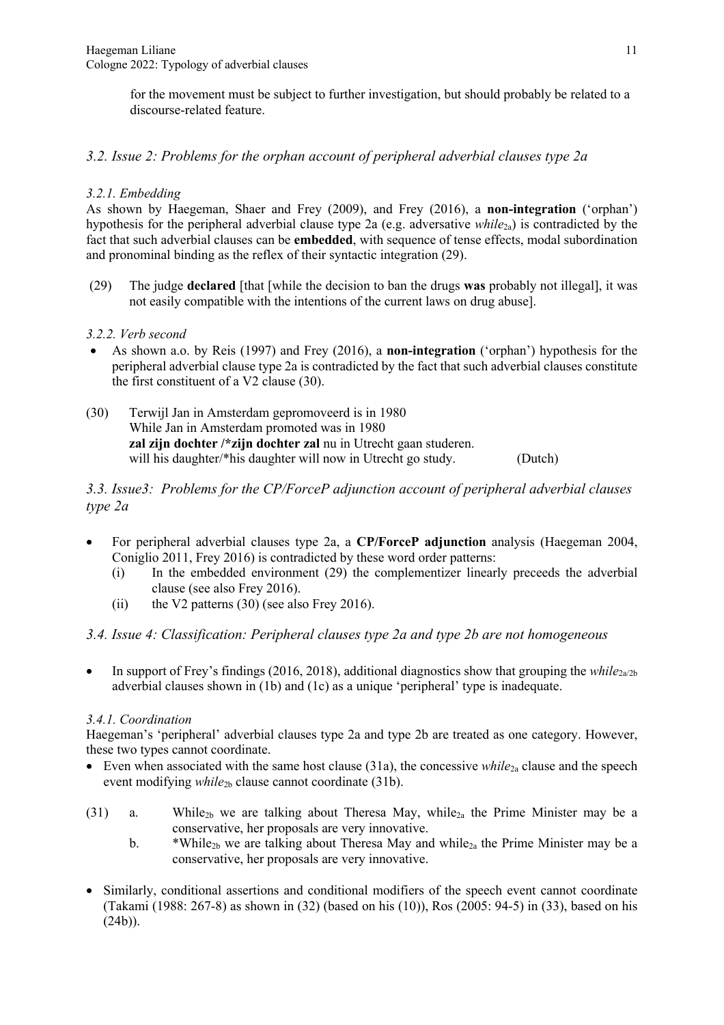for the movement must be subject to further investigation, but should probably be related to a discourse-related feature.

## *3.2. Issue 2: Problems for the orphan account of peripheral adverbial clauses type 2a*

### *3.2.1. Embedding*

As shown by Haegeman, Shaer and Frey (2009), and Frey (2016), a **non-integration** ('orphan') hypothesis for the peripheral adverbial clause type 2a (e.g. adversative *while*<sub>2a</sub>) is contradicted by the fact that such adverbial clauses can be **embedded**, with sequence of tense effects, modal subordination and pronominal binding as the reflex of their syntactic integration (29).

(29) The judge **declared** [that [while the decision to ban the drugs **was** probably not illegal], it was not easily compatible with the intentions of the current laws on drug abuse].

### *3.2.2. Verb second*

- As shown a.o. by Reis (1997) and Frey (2016), a **non-integration** ('orphan') hypothesis for the peripheral adverbial clause type 2a is contradicted by the fact that such adverbial clauses constitute the first constituent of a V2 clause (30).
- (30) Terwijl Jan in Amsterdam gepromoveerd is in 1980 While Jan in Amsterdam promoted was in 1980 **zal zijn dochter /\*zijn dochter zal** nu in Utrecht gaan studeren. will his daughter/\*his daughter will now in Utrecht go study. (Dutch)

## *3.3. Issue3: Problems for the CP/ForceP adjunction account of peripheral adverbial clauses type 2a*

- For peripheral adverbial clauses type 2a, a **CP/ForceP adjunction** analysis (Haegeman 2004, Coniglio 2011, Frey 2016) is contradicted by these word order patterns:
	- (i) In the embedded environment (29) the complementizer linearly preceeds the adverbial clause (see also Frey 2016).
	- (ii) the V2 patterns (30) (see also Frey 2016).

### *3.4. Issue 4: Classification: Peripheral clauses type 2a and type 2b are not homogeneous*

• In support of Frey's findings (2016, 2018), additional diagnostics show that grouping the *while*<sub>2a/2b</sub> adverbial clauses shown in (1b) and (1c) as a unique 'peripheral' type is inadequate.

### *3.4.1. Coordination*

Haegeman's 'peripheral' adverbial clauses type 2a and type 2b are treated as one category. However, these two types cannot coordinate.

- Even when associated with the same host clause (31a), the concessive *while*<sub>2a</sub> clause and the speech event modifying *while*2b clause cannot coordinate (31b).
- (31) a. While<sub>2b</sub> we are talking about Theresa May, while<sub>2a</sub> the Prime Minister may be a conservative, her proposals are very innovative.
	- b. \*While<sub>2b</sub> we are talking about Theresa May and while<sub>2a</sub> the Prime Minister may be a conservative, her proposals are very innovative.
- Similarly, conditional assertions and conditional modifiers of the speech event cannot coordinate (Takami (1988: 267-8) as shown in (32) (based on his (10)), Ros (2005: 94-5) in (33), based on his  $(24b)$ ).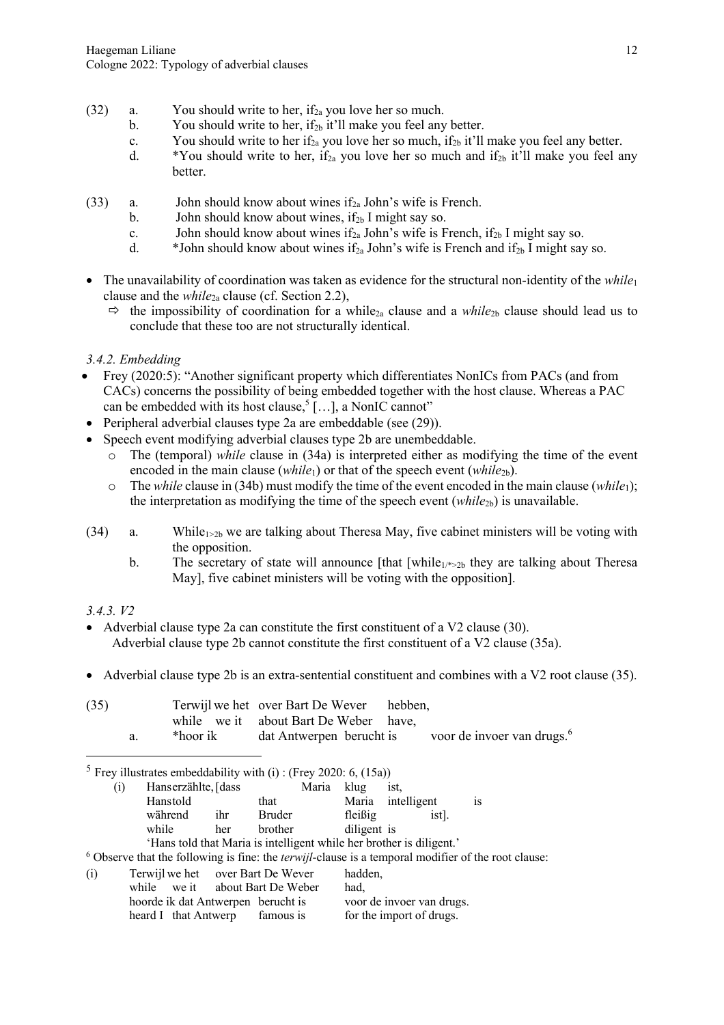- (32) a. You should write to her, if<sub>2a</sub> you love her so much.
	- b. You should write to her, if<sub>2b</sub> it'll make you feel any better.
	- c. You should write to her if<sub>2a</sub> you love her so much, if<sub>2b</sub> it'll make you feel any better.
	- d. \*You should write to her, if<sub>2a</sub> you love her so much and if<sub>2b</sub> it'll make you feel any better.
- (33) a. John should know about wines if<sub>2a</sub> John's wife is French.
	- b. John should know about wines, if<sub>2b</sub> I might say so.
	- c. John should know about wines if<sub>2a</sub> John's wife is French, if<sub>2b</sub> I might say so.
	- d.  $*John$  should know about wines if<sub>2a</sub> John's wife is French and if<sub>2b</sub> I might say so.
- The unavailability of coordination was taken as evidence for the structural non-identity of the *while*<sup>1</sup> clause and the *while*2a clause (cf. Section 2.2),
	- $\Rightarrow$  the impossibility of coordination for a while<sub>2a</sub> clause and a *while*<sub>2b</sub> clause should lead us to conclude that these too are not structurally identical.

*3.4.2. Embedding*

- Frey (2020:5): "Another significant property which differentiates NonICs from PACs (and from CACs) concerns the possibility of being embedded together with the host clause. Whereas a PAC can be embedded with its host clause,<sup>5</sup> [...], a NonIC cannot"
- Peripheral adverbial clauses type 2a are embeddable (see (29)).
- Speech event modifying adverbial clauses type 2b are unembeddable.
	- o The (temporal) *while* clause in (34a) is interpreted either as modifying the time of the event encoded in the main clause (*while*<sub>1</sub>) or that of the speech event (*while*<sub>2b</sub>).
	- o The *while* clause in (34b) must modify the time of the event encoded in the main clause (*while*1); the interpretation as modifying the time of the speech event  $(while_{2b})$  is unavailable.
- (34) a. While<sub>1>2b</sub> we are talking about Theresa May, five cabinet ministers will be voting with the opposition.
	- b. The secretary of state will announce [that [while<sub>1/\*>2b</sub> they are talking about Theresa May], five cabinet ministers will be voting with the opposition].

## *3.4.3. V2*

- Adverbial clause type 2a can constitute the first constituent of a V2 clause (30). Adverbial clause type 2b cannot constitute the first constituent of a V2 clause (35a).
- Adverbial clause type 2b is an extra-sentential constituent and combines with a V2 root clause (35).

| (35) |          | Terwijl we het over Bart De Wever hebben,                       |  |  |
|------|----------|-----------------------------------------------------------------|--|--|
|      |          | while we it about Bart De Weber have,                           |  |  |
|      | *hoor ik | dat Antwerpen berucht is voor de invoer van drugs. <sup>6</sup> |  |  |

<sup>5</sup> Frey illustrates embeddability with (i) : (Frey 2020: 6, (15a))

| (1) | Hanserzählte, [dass               |     |                           | Maria | klug        | ist,                                                                 |                                                                                                               |
|-----|-----------------------------------|-----|---------------------------|-------|-------------|----------------------------------------------------------------------|---------------------------------------------------------------------------------------------------------------|
|     | Hanstold                          |     | that                      |       |             | Maria intelligent                                                    | <b>1S</b>                                                                                                     |
|     | während                           | ihr | Bruder                    |       | fleißig     | ist].                                                                |                                                                                                               |
|     | while                             | her | brother                   |       | diligent is |                                                                      |                                                                                                               |
|     |                                   |     |                           |       |             | 'Hans told that Maria is intelligent while her brother is diligent.' |                                                                                                               |
|     |                                   |     |                           |       |             |                                                                      | $6$ Observe that the following is fine: the <i>terwijl</i> -clause is a temporal modifier of the root clause: |
| (i) | Terwijl we het over Bart De Wever |     |                           |       | hadden,     |                                                                      |                                                                                                               |
|     | while                             |     | we it about Bart De Weber |       | had,        |                                                                      |                                                                                                               |

hoorde ik dat Antwerpen berucht is voor de invoer van drugs. heard I that Antwerp famous is for the import of drugs.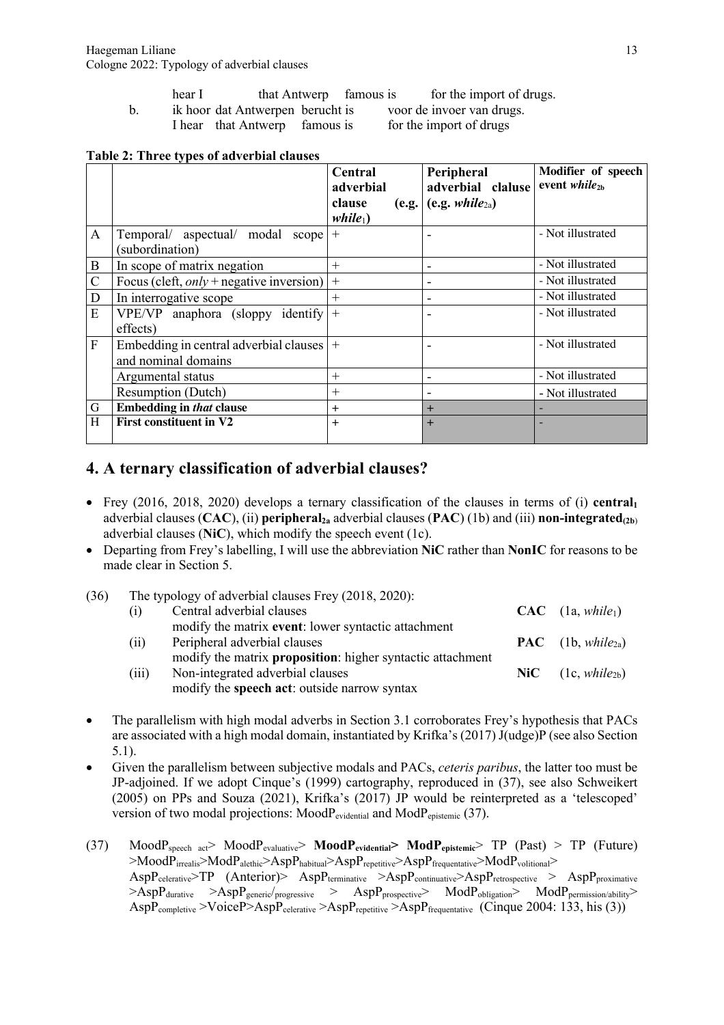| that Antwerp<br>hear I | famous is | for the import of drugs. |
|------------------------|-----------|--------------------------|
|------------------------|-----------|--------------------------|

b. ik hoor dat Antwerpen berucht is voor de invoer van drugs.

I hear that Antwerp famous is for the import of drugs

#### **Table 2: Three types of adverbial clauses**

|                  |                                            | Central            | Peripheral               | Modifier of speech        |
|------------------|--------------------------------------------|--------------------|--------------------------|---------------------------|
|                  |                                            | adverbial          | adverbial claluse        | event while <sub>2b</sub> |
|                  |                                            | clause<br>(e.g.    | (e.g. $while_{2a}$ )     |                           |
|                  |                                            | while <sub>1</sub> |                          |                           |
| $\mathbf{A}$     | Temporal/ aspectual/ modal scope           | $+$                |                          | - Not illustrated         |
|                  | (subordination)                            |                    |                          |                           |
| $\boldsymbol{B}$ | In scope of matrix negation                | $+$                |                          | - Not illustrated         |
| $\mathcal{C}$    | Focus (cleft, $only$ + negative inversion) | $^{+}$             |                          | - Not illustrated         |
| D                | In interrogative scope                     | $+$                |                          | - Not illustrated         |
| E                | VPE/VP anaphora (sloppy identify)          | $+$                | $\overline{\phantom{0}}$ | - Not illustrated         |
|                  | effects)                                   |                    |                          |                           |
| $\mathbf{F}$     | Embedding in central adverbial clauses     | $+$                |                          | - Not illustrated         |
|                  | and nominal domains                        |                    |                          |                           |
|                  | Argumental status                          | $+$                |                          | - Not illustrated         |
|                  | <b>Resumption (Dutch)</b>                  | $+$                |                          | - Not illustrated         |
| G                | <b>Embedding in that clause</b>            | $+$                | $+$                      |                           |
| H                | <b>First constituent in V2</b>             | $^{+}$             | $+$                      |                           |
|                  |                                            |                    |                          |                           |

# **4. A ternary classification of adverbial clauses?**

- Frey (2016, 2018, 2020) develops a ternary classification of the clauses in terms of (i) **central** adverbial clauses (CAC), (ii) **peripheral**<sub>2a</sub> adverbial clauses (PAC) (1b) and (iii) **non-integrated**<sub>(2b)</sub> adverbial clauses (**NiC**), which modify the speech event (1c).
- Departing from Frey's labelling, I will use the abbreviation **NiC** rather than **NonIC** for reasons to be made clear in Section 5.

| (36) |       | The typology of adverbial clauses Frey (2018, 2020):       |  |                                           |  |  |  |
|------|-------|------------------------------------------------------------|--|-------------------------------------------|--|--|--|
|      | (1)   | Central adverbial clauses                                  |  | $CAC$ (1a, while <sub>1</sub> )           |  |  |  |
|      |       | modify the matrix event: lower syntactic attachment        |  |                                           |  |  |  |
|      | (i)   | Peripheral adverbial clauses                               |  | $\mathbf{PAC}$ (1b, while <sub>2a</sub> ) |  |  |  |
|      |       | modify the matrix proposition: higher syntactic attachment |  |                                           |  |  |  |
|      | (iii) | Non-integrated adverbial clauses                           |  | $\textbf{NiC} \quad (1c, while_{2b})$     |  |  |  |
|      |       | modify the speech act: outside narrow syntax               |  |                                           |  |  |  |

- The parallelism with high modal adverbs in Section 3.1 corroborates Frey's hypothesis that PACs are associated with a high modal domain, instantiated by Krifka's (2017) J(udge)P (see also Section 5.1).
- Given the parallelism between subjective modals and PACs, *ceteris paribus*, the latter too must be JP-adjoined. If we adopt Cinque's (1999) cartography, reproduced in (37), see also Schweikert (2005) on PPs and Souza (2021), Krifka's (2017) JP would be reinterpreted as a 'telescoped' version of two modal projections: MoodPevidential and ModPepistemic (37).
- (37) MoodPspeech act> MoodPevaluative> **MoodPevidential> ModPepistemic**> TP (Past) > TP (Future)  $>$ Mood $P_{\text{irrealis}}$  $>$ Mod $P_{\text{alethic}}$  $>$ Asp $P_{\text{habitual}}$  $>$ Asp $P_{\text{repetitive}}$  $>$ Asp $P_{\text{frequentative}}$  $>$ Mod $P_{\text{volitional}}$  $>$  $\rm AspP_{\text{celerative}}$ >TP (Anterior)>  $\rm AspP_{\text{terminative}}$  >AspP<sub>continuative</sub>>AspP<sub>retrospective</sub> > AspP<sub>proximative</sub>  $\geq$ AspP<sub>durative</sub>  $\geq$ AspP<sub>generic</sub>/<sub>progressive</sub>  $\geq$  AspP<sub>prospective</sub> ModP<sub>obligation</sub> ModP<sub>permission/ability</sub> AspP<sub>completive</sub> >VoiceP>AspP<sub>celerative</sub> >AspP<sub>repetitive</sub> >AspP<sub>frequentative</sub> (Cinque 2004: 133, his (3))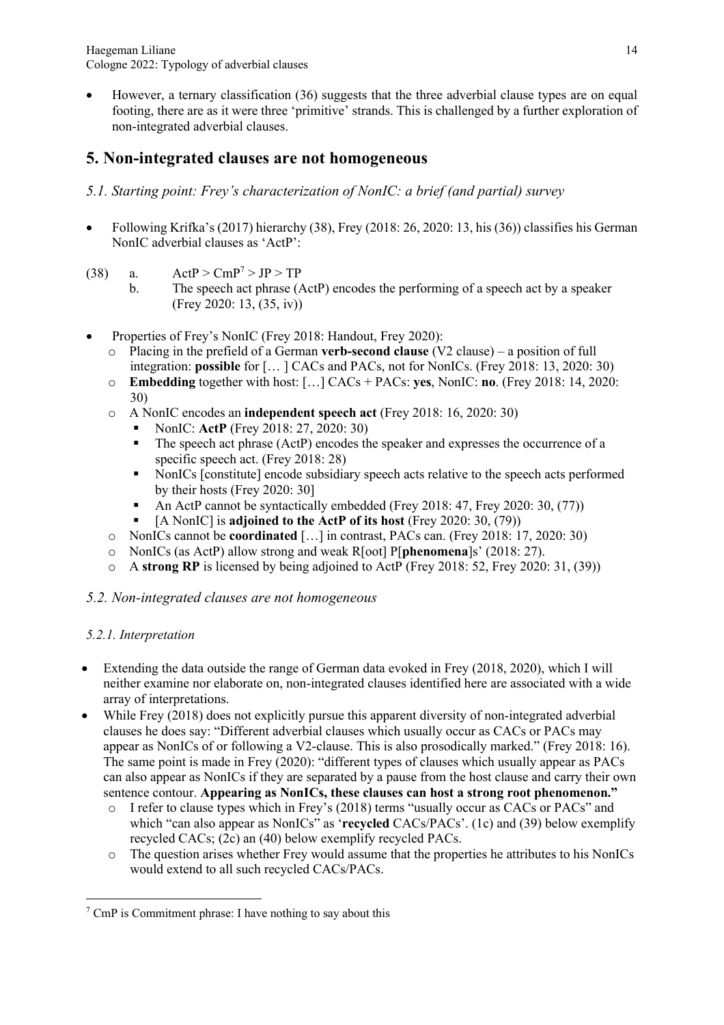Haegeman Liliane Cologne 2022: Typology of adverbial clauses

• However, a ternary classification (36) suggests that the three adverbial clause types are on equal footing, there are as it were three 'primitive' strands. This is challenged by a further exploration of non-integrated adverbial clauses.

# **5. Non-integrated clauses are not homogeneous**

- *5.1. Starting point: Frey's characterization of NonIC: a brief (and partial) survey*
- Following Krifka's (2017) hierarchy (38), Frey (2018: 26, 2020: 13, his (36)) classifies his German NonIC adverbial clauses as 'ActP':
- (38) a.  $ActP > CmP^7 > JP > TP$ 
	- b. The speech act phrase (ActP) encodes the performing of a speech act by a speaker (Frey 2020: 13, (35, iv))
- Properties of Frey's NonIC (Frey 2018: Handout, Frey 2020):
	- o Placing in the prefield of a German **verb-second clause** (V2 clause) a position of full integration: **possible** for [… ] CACs and PACs, not for NonICs. (Frey 2018: 13, 2020: 30)
	- o **Embedding** together with host: […] CACs + PACs: **yes**, NonIC: **no**. (Frey 2018: 14, 2020: 30)
	- o A NonIC encodes an **independent speech act** (Frey 2018: 16, 2020: 30)
		- § NonIC: **ActP** (Frey 2018: 27, 2020: 30)
		- § The speech act phrase (ActP) encodes the speaker and expresses the occurrence of a specific speech act. (Frey 2018: 28)
		- NonICs [constitute] encode subsidiary speech acts relative to the speech acts performed by their hosts (Frey 2020: 30]
		- § An ActP cannot be syntactically embedded (Frey 2018: 47, Frey 2020: 30, (77))
		- § [A NonIC] is **adjoined to the ActP of its host** (Frey 2020: 30, (79))
	- o NonICs cannot be **coordinated** […] in contrast, PACs can. (Frey 2018: 17, 2020: 30)
	- o NonICs (as ActP) allow strong and weak R[oot] P[**phenomena**]s' (2018: 27).
	- o A **strong RP** is licensed by being adjoined to ActP (Frey 2018: 52, Frey 2020: 31, (39))

### *5.2. Non-integrated clauses are not homogeneous*

### *5.2.1. Interpretation*

- Extending the data outside the range of German data evoked in Frey (2018, 2020), which I will neither examine nor elaborate on, non-integrated clauses identified here are associated with a wide array of interpretations.
- While Frey (2018) does not explicitly pursue this apparent diversity of non-integrated adverbial clauses he does say: "Different adverbial clauses which usually occur as CACs or PACs may appear as NonICs of or following a V2-clause. This is also prosodically marked." (Frey 2018: 16). The same point is made in Frey (2020): "different types of clauses which usually appear as PACs can also appear as NonICs if they are separated by a pause from the host clause and carry their own sentence contour. **Appearing as NonICs, these clauses can host a strong root phenomenon."**
	- o I refer to clause types which in Frey's (2018) terms "usually occur as CACs or PACs" and which "can also appear as NonICs" as '**recycled** CACs/PACs'. (1c) and (39) below exemplify recycled CACs; (2c) an (40) below exemplify recycled PACs.
	- o The question arises whether Frey would assume that the properties he attributes to his NonICs would extend to all such recycled CACs/PACs.

 $\frac{7}{7}$  CmP is Commitment phrase: I have nothing to say about this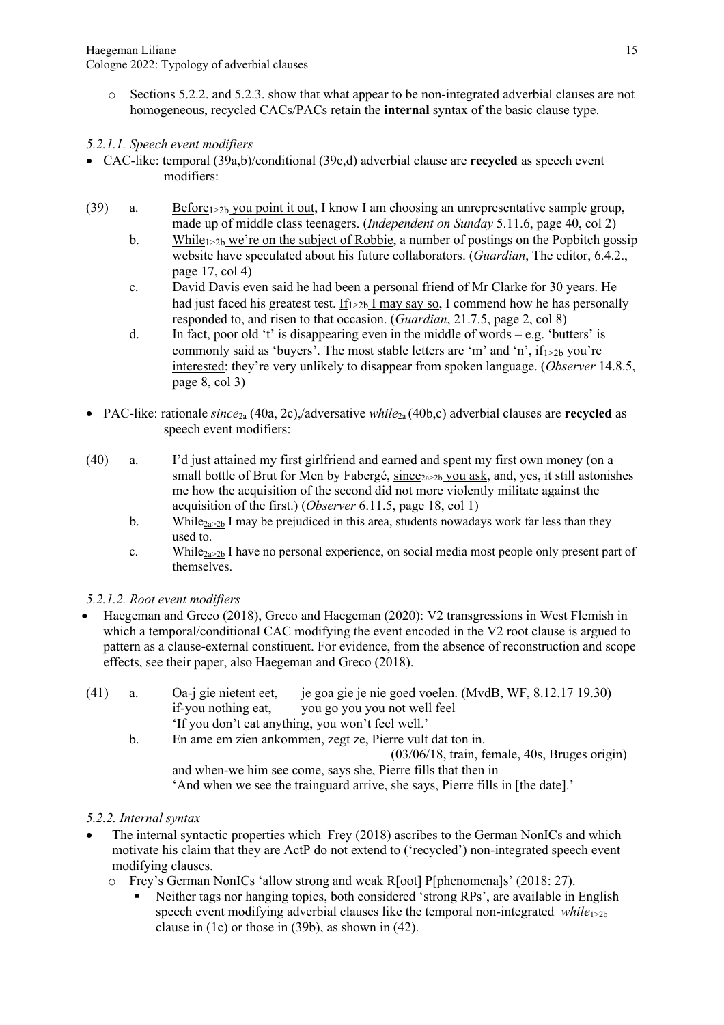- o Sections 5.2.2. and 5.2.3. show that what appear to be non-integrated adverbial clauses are not homogeneous, recycled CACs/PACs retain the **internal** syntax of the basic clause type.
- *5.2.1.1. Speech event modifiers*
- CAC-like: temporal (39a,b)/conditional (39c,d) adverbial clause are **recycled** as speech event modifiers:
- (39) a. Before $1 \times 2b$  you point it out, I know I am choosing an unrepresentative sample group, made up of middle class teenagers. (*Independent on Sunday* 5.11.6, page 40, col 2)
	- b. While $1>2b$  we're on the subject of Robbie, a number of postings on the Popbitch gossip website have speculated about his future collaborators. (*Guardian*, The editor, 6.4.2., page 17, col 4)
	- c. David Davis even said he had been a personal friend of Mr Clarke for 30 years. He had just faced his greatest test. If  $_{1>2b}$  I may say so, I commend how he has personally responded to, and risen to that occasion. (*Guardian*, 21.7.5, page 2, col 8)
	- d. In fact, poor old 't' is disappearing even in the middle of words e.g. 'butters' is commonly said as 'buyers'. The most stable letters are 'm' and 'n', if $_{1>2b}$  you're interested: they're very unlikely to disappear from spoken language. (*Observer* 14.8.5, page 8, col 3)
- PAC-like: rationale *since*2a (40a, 2c),/adversative *while*2a (40b,c) adverbial clauses are **recycled** as speech event modifiers:
- (40) a. I'd just attained my first girlfriend and earned and spent my first own money (on a small bottle of Brut for Men by Fabergé, since  $2a>2b$  you ask, and, yes, it still astonishes me how the acquisition of the second did not more violently militate against the acquisition of the first.) (*Observer* 6.11.5, page 18, col 1)
	- b. While<sub>2a>2b</sub> I may be prejudiced in this area, students nowadays work far less than they used to.
	- c. While<sub>2a>2b</sub> I have no personal experience, on social media most people only present part of themselves.

## *5.2.1.2. Root event modifiers*

• Haegeman and Greco (2018), Greco and Haegeman (2020): V2 transgressions in West Flemish in which a temporal/conditional CAC modifying the event encoded in the V2 root clause is argued to pattern as a clause-external constituent. For evidence, from the absence of reconstruction and scope effects, see their paper, also Haegeman and Greco (2018).

| (41) | a. | je goa gie je nie goed voelen. (MvdB, WF, 8.12.17 19.30)<br>Oa-j gie nietent eet,<br>if-you nothing eat,<br>you go you you not well feel |
|------|----|------------------------------------------------------------------------------------------------------------------------------------------|
|      |    | 'If you don't eat anything, you won't feel well.'                                                                                        |
|      | b. | En ame em zien ankommen, zegt ze, Pierre vult dat ton in.                                                                                |
|      |    | $(03/06/18, \text{train}, \text{female}, 40s, \text{Bruges origin})$                                                                     |
|      |    | and when-we him see come, says she, Pierre fills that then in                                                                            |
|      |    | 'And when we see the trainguard arrive, she says, Pierre fills in [the date].'                                                           |

## *5.2.2. Internal syntax*

- The internal syntactic properties which Frey (2018) ascribes to the German NonICs and which motivate his claim that they are ActP do not extend to ('recycled') non-integrated speech event modifying clauses.
	- o Frey's German NonICs 'allow strong and weak R[oot] P[phenomena]s' (2018: 27).
		- Neither tags nor hanging topics, both considered 'strong RPs', are available in English speech event modifying adverbial clauses like the temporal non-integrated *while* $_{1\geq2b}$ clause in (1c) or those in (39b), as shown in (42).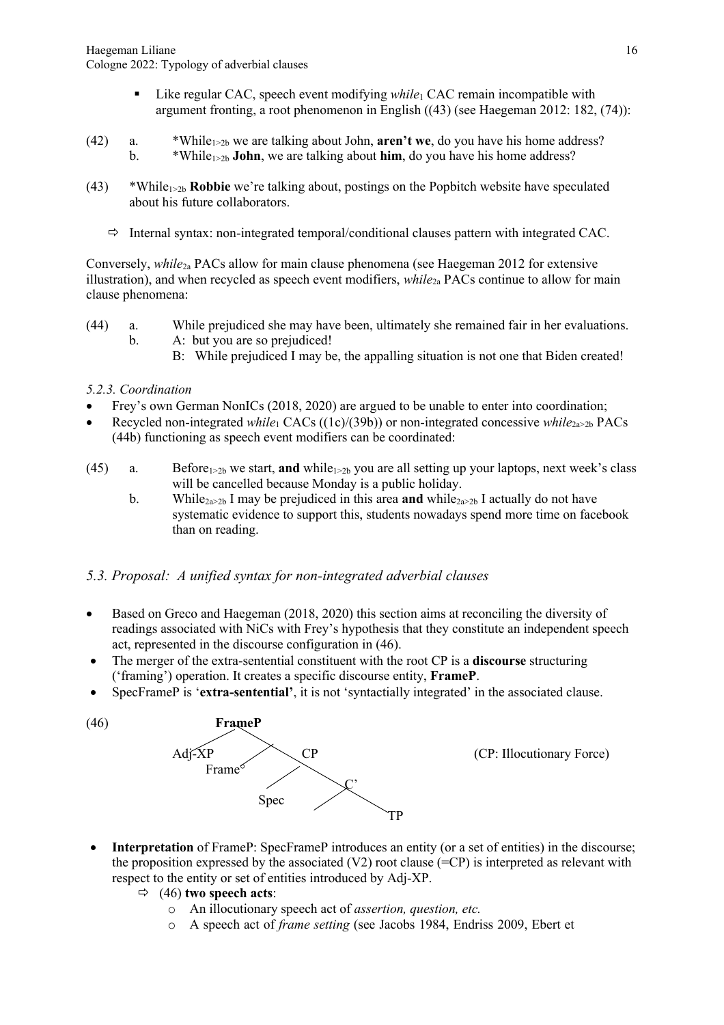- Like regular CAC, speech event modifying *while*<sup>1</sup> CAC remain incompatible with argument fronting, a root phenomenon in English ((43) (see Haegeman 2012: 182, (74)):
- (42) a.  $*While_{1\geq2b}$  we are talking about John, **aren't we**, do you have his home address? b.  $*While_{1\geq2b}$  **John**, we are talking about **him**, do you have his home address?
- (43) \*While1>2b **Robbie** we're talking about, postings on the Popbitch website have speculated about his future collaborators.
	- $\Rightarrow$  Internal syntax: non-integrated temporal/conditional clauses pattern with integrated CAC.

Conversely, *while*2a PACs allow for main clause phenomena (see Haegeman 2012 for extensive illustration), and when recycled as speech event modifiers, *while*2a PACs continue to allow for main clause phenomena:

- (44) a. While prejudiced she may have been, ultimately she remained fair in her evaluations. b. A: but you are so prejudiced!
	- B: While prejudiced I may be, the appalling situation is not one that Biden created!

#### *5.2.3. Coordination*

- Frey's own German NonICs (2018, 2020) are argued to be unable to enter into coordination;
- Recycled non-integrated *while*<sub>1</sub> CACs ((1c)/(39b)) or non-integrated concessive *while*<sub>2a>2b</sub> PACs (44b) functioning as speech event modifiers can be coordinated:
- (45) a. Before $1>2b$  we start, **and** while $1>2b$  you are all setting up your laptops, next week's class will be cancelled because Monday is a public holiday.
	- b. While<sub>2a>2b</sub> I may be prejudiced in this area **and** while<sub>2a>2b</sub> I actually do not have systematic evidence to support this, students nowadays spend more time on facebook than on reading.

### *5.3. Proposal: A unified syntax for non-integrated adverbial clauses*

- Based on Greco and Haegeman (2018, 2020) this section aims at reconciling the diversity of readings associated with NiCs with Frey's hypothesis that they constitute an independent speech act, represented in the discourse configuration in (46).
- The merger of the extra-sentential constituent with the root CP is a **discourse** structuring ('framing') operation. It creates a specific discourse entity, **FrameP**.
- SpecFrameP is '**extra-sentential'**, it is not 'syntactially integrated' in the associated clause.



- **Interpretation** of FrameP: SpecFrameP introduces an entity (or a set of entities) in the discourse; the proposition expressed by the associated  $(V2)$  root clause  $(=CP)$  is interpreted as relevant with respect to the entity or set of entities introduced by Adj-XP.
	- $\Rightarrow$  (46) **two speech acts:** 
		- o An illocutionary speech act of *assertion, question, etc.*
		- o A speech act of *frame setting* (see Jacobs 1984, Endriss 2009, Ebert et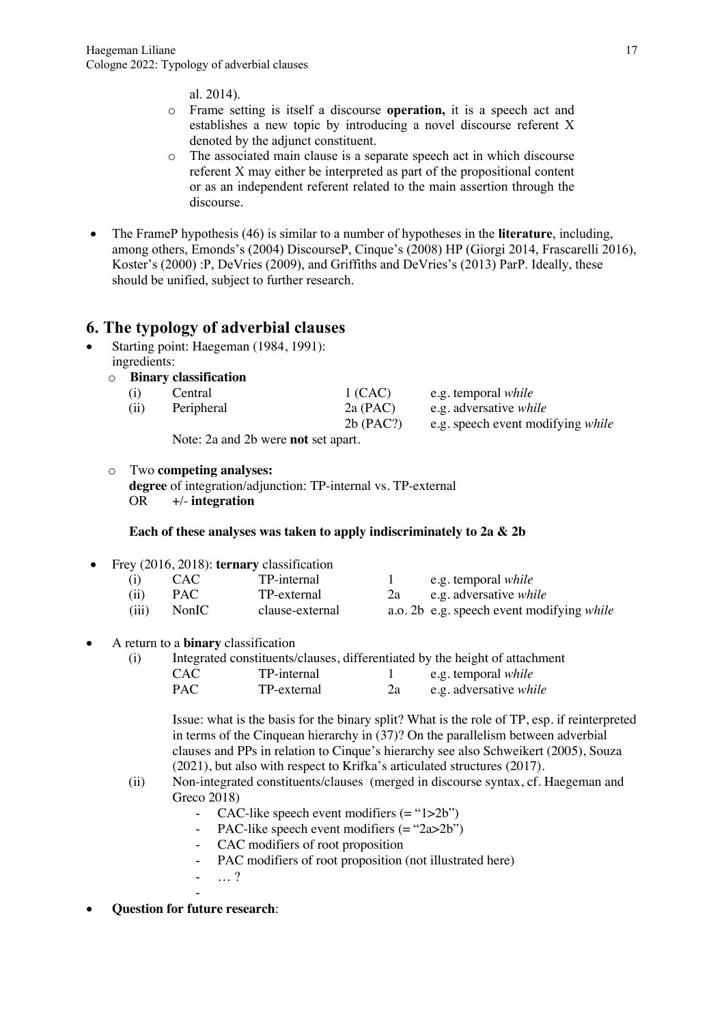al. 2014).

- o Frame setting is itself a discourse **operation,** it is a speech act and establishes a new topic by introducing a novel discourse referent X denoted by the adjunct constituent.
- o The associated main clause is a separate speech act in which discourse referent X may either be interpreted as part of the propositional content or as an independent referent related to the main assertion through the discourse.
- The FrameP hypothesis (46) is similar to a number of hypotheses in the **literature**, including, among others, Emonds's (2004) DiscourseP, Cinque's (2008) HP (Giorgi 2014, Frascarelli 2016), Koster's (2000) :P, DeVries (2009), and Griffiths and DeVries's (2013) ParP. Ideally, these should be unified, subject to further research.

# **6. The typology of adverbial clauses**

- Starting point: Haegeman (1984, 1991): ingredients:
	- o **Binary classification**

| (i)  | Central                                    | 1 (CAC)                 | e.g. temporal <i>while</i>                                         |
|------|--------------------------------------------|-------------------------|--------------------------------------------------------------------|
| (ii) | Peripheral                                 | 2a (PAC)<br>$2b$ (PAC?) | e.g. adversative <i>while</i><br>e.g. speech event modifying while |
|      | Note: 2a and 2b were <b>not</b> set apart. |                         |                                                                    |

o Two **competing analyses:** 

**degree** of integration/adjunction: TP-internal vs. TP-external OR  $+/-$  **integration** OR +/- **integration**

#### **Each of these analyses was taken to apply indiscriminately to 2a & 2b**

• Frey (2016, 2018): **ternary** classification

| (i)   | CAC.  | TP-internal     |    | e.g. temporal <i>while</i>                |
|-------|-------|-----------------|----|-------------------------------------------|
| (ii)  | PAC.  | TP-external     | 2a | e.g. adversative <i>while</i>             |
| (iii) | NonIC | clause-external |    | a.o. 2b e.g. speech event modifying while |

• A return to a **binary** classification

| (i) | Integrated constituents/clauses, differentiated by the height of attachment |             |    |                               |
|-----|-----------------------------------------------------------------------------|-------------|----|-------------------------------|
|     | CAC-                                                                        | TP-internal |    | e.g. temporal <i>while</i>    |
|     | PAC.                                                                        | TP-external | 2a | e.g. adversative <i>while</i> |

Issue: what is the basis for the binary split? What is the role of TP, esp. if reinterpreted in terms of the Cinquean hierarchy in (37)? On the parallelism between adverbial clauses and PPs in relation to Cinque's hierarchy see also Schweikert (2005), Souza (2021), but also with respect to Krifka's articulated structures (2017).

- (ii) Non-integrated constituents/clauses (merged in discourse syntax, cf. Haegeman and Greco 2018)
	- CAC-like speech event modifiers (= "1>2b")
	- PAC-like speech event modifiers (= "2a>2b")
	- CAC modifiers of root proposition
	- PAC modifiers of root proposition (not illustrated here)
	- … ? -
- **Question for future research**: